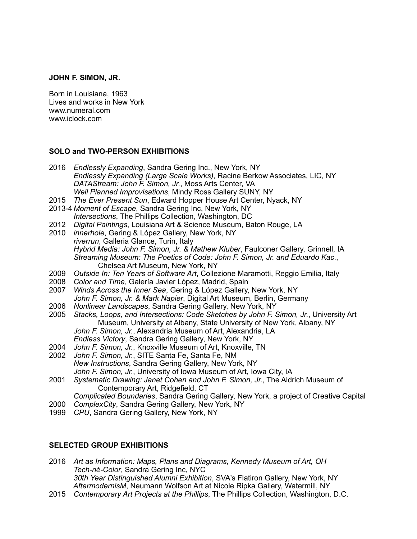### **JOHN F. SIMON, JR.**

Born in Louisiana, 1963 Lives and works in New York www.numeral.com www.iclock.com

### **SOLO and TWO-PERSON EXHIBITIONS**

- 2016 *Endlessly Expanding*, Sandra Gering Inc., New York, NY  *Endlessly Expanding (Large Scale Works)*, Racine Berkow Associates, LIC, NY  *DATAStream: John F. Simon, Jr.*, Moss Arts Center, VA *Well Planned Improvisations*, Mindy Ross Gallery SUNY, NY
- 2015 *The Ever Present Sun*, Edward Hopper House Art Center, Nyack, NY
- 2013-4 *Moment of Escape*, Sandra Gering Inc, New York, NY *Intersections*, The Phillips Collection, Washington, DC
- 2012 *Digital Paintings*, Louisiana Art & Science Museum, Baton Rouge, LA
- 2010 *innerhole*, Gering & López Gallery, New York, NY *riverrun*, Galleria Glance, Turin, Italy *Hybrid Media: John F. Simon, Jr. & Mathew Kluber*, Faulconer Gallery, Grinnell, IA *Streaming Museum: The Poetics of Code: John F. Simon, Jr. and Eduardo Kac*., Chelsea Art Museum, New York, NY
- 2009 *Outside In: Ten Years of Software Art*, Collezione Maramotti, Reggio Emilia, Italy
- 2008 *Color and Time*, Galería Javier López, Madrid, Spain
- 2007 *Winds Across the Inner Sea*, Gering & López Gallery, New York, NY *John F. Simon, Jr. & Mark Napier*, Digital Art Museum, Berlin, Germany
- 2006 *Nonlinear Landscapes*, Sandra Gering Gallery, New York, NY
- 2005 *Stacks, Loops, and Intersections: Code Sketches by John F. Simon, Jr.*, University Art Museum, University at Albany, State University of New York, Albany, NY *John F. Simon, Jr.*, Alexandria Museum of Art, Alexandria, LA *Endless Victory*, Sandra Gering Gallery, New York, NY
- 2004 *John F. Simon, Jr.*, Knoxville Museum of Art, Knoxville, TN
- 2002 *John F. Simon, Jr.*, SITE Santa Fe, Santa Fe, NM
- *New Instructions*, Sandra Gering Gallery, New York, NY *John F. Simon, Jr.*, University of Iowa Museum of Art, Iowa City, IA
- 2001 *Systematic Drawing: Janet Cohen and John F. Simon, Jr.*, The Aldrich Museum of Contemporary Art, Ridgefield, CT

*Complicated Boundaries*, Sandra Gering Gallery, New York, a project of Creative Capital

- 2000 *ComplexCity*, Sandra Gering Gallery, New York, NY
- 1999 *CPU*, Sandra Gering Gallery, New York, NY

### **SELECTED GROUP EXHIBITIONS**

2016 *Art as Information: Maps, Plans and Diagrams, Kennedy Museum of Art, OH Tech-né-Color*, Sandra Gering Inc, NYC  *30th Year Distinguished Alumni Exhibition*, SVA's Flatiron Gallery, New York, NY *AftermodernisM*[, Neumann Wolfson Art at Nicole Ripka Gallery, Watermill, NY](http://www.numeral.com/shows/aftermodernism/aftermodernism.php)

2015 *Contemporary Art Projects at the Phillips*, The Phillips Collection, Washington, D.C.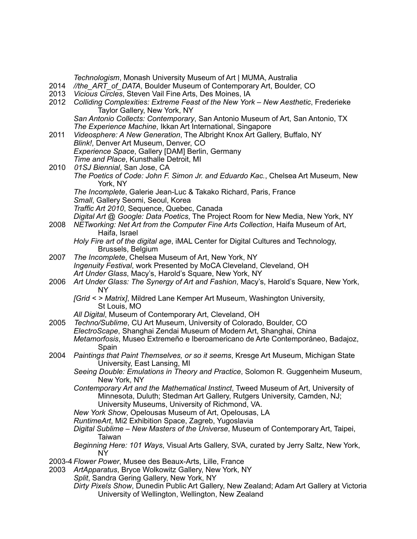| 2014         | Technologism, Monash University Museum of Art   MUMA, Australia<br>//the ART of DATA, Boulder Museum of Contemporary Art, Boulder, CO                                                                            |
|--------------|------------------------------------------------------------------------------------------------------------------------------------------------------------------------------------------------------------------|
| 2013<br>2012 | Vicious Circles, Steven Vail Fine Arts, Des Moines, IA<br>Colliding Complexities: Extreme Feast of the New York - New Aesthetic, Frederieke<br>Taylor Gallery, New York, NY                                      |
|              | San Antonio Collects: Contemporary, San Antonio Museum of Art, San Antonio, TX<br>The Experience Machine, Ikkan Art International, Singapore                                                                     |
| 2011         | Videosphere: A New Generation, The Albright Knox Art Gallery, Buffalo, NY<br>Blink!, Denver Art Museum, Denver, CO                                                                                               |
|              | Experience Space, Gallery [DAM] Berlin, Germany<br>Time and Place, Kunsthalle Detroit, MI                                                                                                                        |
| 2010         | 01SJ Biennial, San Jose, CA<br>The Poetics of Code: John F. Simon Jr. and Eduardo Kac., Chelsea Art Museum, New<br>York, NY                                                                                      |
|              | The Incomplete, Galerie Jean-Luc & Takako Richard, Paris, France<br>Small, Gallery Seomi, Seoul, Korea                                                                                                           |
|              | Traffic Art 2010, Sequence, Quebec, Canada                                                                                                                                                                       |
| 2008         | Digital Art @ Google: Data Poetics, The Project Room for New Media, New York, NY<br>NETworking: Net Art from the Computer Fine Arts Collection, Haifa Museum of Art,<br>Haifa, Israel                            |
|              | Holy Fire art of the digital age, iMAL Center for Digital Cultures and Technology,<br>Brussels, Belgium                                                                                                          |
| 2007         | The Incomplete, Chelsea Museum of Art, New York, NY                                                                                                                                                              |
|              | Ingenuity Festival, work Presented by MoCA Cleveland, Cleveland, OH<br>Art Under Glass, Macy's, Harold's Square, New York, NY                                                                                    |
| 2006         | Art Under Glass: The Synergy of Art and Fashion, Macy's, Harold's Square, New York,<br><b>NY</b>                                                                                                                 |
|              | [Grid < > Matrix], Mildred Lane Kemper Art Museum, Washington University,<br>St Louis, MO                                                                                                                        |
|              | All Digital, Museum of Contemporary Art, Cleveland, OH                                                                                                                                                           |
| 2005         | Techno/Sublime, CU Art Museum, University of Colorado, Boulder, CO<br>ElectroScape, Shanghai Zendai Museum of Modern Art, Shanghai, China                                                                        |
|              | Metamorfosis, Museo Extremeño e Iberoamericano de Arte Contemporáneo, Badajoz,<br>Spain                                                                                                                          |
| 2004         | Paintings that Paint Themselves, or so it seems, Kresge Art Museum, Michigan State<br>University, East Lansing, MI                                                                                               |
|              | Seeing Double: Emulations in Theory and Practice, Solomon R. Guggenheim Museum,<br>New York, NY                                                                                                                  |
|              | Contemporary Art and the Mathematical Instinct, Tweed Museum of Art, University of<br>Minnesota, Duluth; Stedman Art Gallery, Rutgers University, Camden, NJ;<br>University Museums, University of Richmond, VA. |
|              | New York Show, Opelousas Museum of Art, Opelousas, LA                                                                                                                                                            |
|              | RuntimeArt, Mi2 Exhibition Space, Zagreb, Yugoslavia                                                                                                                                                             |
|              | Digital Sublime - New Masters of the Universe, Museum of Contemporary Art, Taipei,<br>Taiwan                                                                                                                     |
|              | Beginning Here: 101 Ways, Visual Arts Gallery, SVA, curated by Jerry Saltz, New York,<br>NY.                                                                                                                     |
| 2003         | 2003-4 Flower Power, Musee des Beaux-Arts, Lille, France<br>ArtApparatus, Bryce Wolkowitz Gallery, New York, NY                                                                                                  |
|              | Split, Sandra Gering Gallery, New York, NY                                                                                                                                                                       |
|              | Dirty Pixels Show, Dunedin Public Art Gallery, New Zealand; Adam Art Gallery at Victoria<br>University of Wellington, Wellington, New Zealand                                                                    |
|              |                                                                                                                                                                                                                  |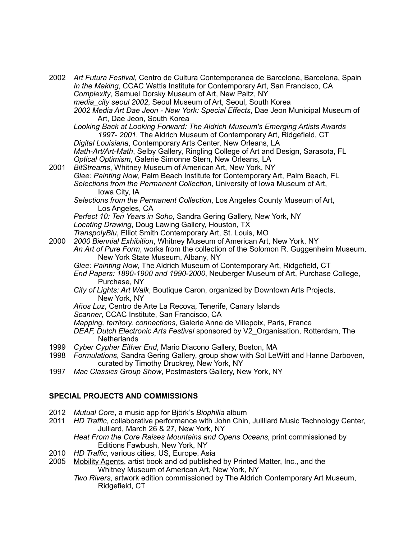| 2002<br>2001                            | Art Futura Festival, Centro de Cultura Contemporanea de Barcelona, Barcelona, Spain<br>In the Making, CCAC Wattis Institute for Contemporary Art, San Francisco, CA<br>Complexity, Samuel Dorsky Museum of Art, New Paltz, NY<br>media city seoul 2002, Seoul Museum of Art, Seoul, South Korea<br>2002 Media Art Dae Jeon - New York: Special Effects, Dae Jeon Municipal Museum of<br>Art, Dae Jeon, South Korea<br>Looking Back at Looking Forward: The Aldrich Museum's Emerging Artists Awards<br>1997-2001, The Aldrich Museum of Contemporary Art, Ridgefield, CT<br>Digital Louisiana, Contemporary Arts Center, New Orleans, LA<br>Math-Art/Art-Math, Selby Gallery, Ringling College of Art and Design, Sarasota, FL<br>Optical Optimism, Galerie Simonne Stern, New Orleans, LA<br>BitStreams, Whitney Museum of American Art, New York, NY<br>Glee: Painting Now, Palm Beach Institute for Contemporary Art, Palm Beach, FL |
|-----------------------------------------|-----------------------------------------------------------------------------------------------------------------------------------------------------------------------------------------------------------------------------------------------------------------------------------------------------------------------------------------------------------------------------------------------------------------------------------------------------------------------------------------------------------------------------------------------------------------------------------------------------------------------------------------------------------------------------------------------------------------------------------------------------------------------------------------------------------------------------------------------------------------------------------------------------------------------------------------|
|                                         | Selections from the Permanent Collection, University of Iowa Museum of Art,<br>Iowa City, IA<br>Selections from the Permanent Collection, Los Angeles County Museum of Art,<br>Los Angeles, CA<br>Perfect 10: Ten Years in Soho, Sandra Gering Gallery, New York, NY<br>Locating Drawing, Doug Lawing Gallery, Houston, TX<br>TranspolyBlu, Elliot Smith Contemporary Art, St. Louis, MO                                                                                                                                                                                                                                                                                                                                                                                                                                                                                                                                                |
| 2000                                    | 2000 Biennial Exhibition, Whitney Museum of American Art, New York, NY<br>An Art of Pure Form, works from the collection of the Solomon R. Guggenheim Museum,<br>New York State Museum, Albany, NY<br>Glee: Painting Now, The Aldrich Museum of Contemporary Art, Ridgefield, CT<br>End Papers: 1890-1900 and 1990-2000, Neuberger Museum of Art, Purchase College,<br>Purchase, NY<br>City of Lights: Art Walk, Boutique Caron, organized by Downtown Arts Projects,<br>New York, NY<br>Años Luz, Centro de Arte La Recova, Tenerife, Canary Islands<br>Scanner, CCAC Institute, San Francisco, CA<br>Mapping, territory, connections, Galerie Anne de Villepoix, Paris, France<br>DEAF, Dutch Electronic Arts Festival sponsored by V2_Organisation, Rotterdam, The<br><b>Netherlands</b>                                                                                                                                             |
| 1999<br>1998                            | Cyber Cypher Either End, Mario Diacono Gallery, Boston, MA<br>Formulations, Sandra Gering Gallery, group show with Sol LeWitt and Hanne Darboven,<br>curated by Timothy Druckrey, New York, NY                                                                                                                                                                                                                                                                                                                                                                                                                                                                                                                                                                                                                                                                                                                                          |
| 1997                                    | Mac Classics Group Show, Postmasters Gallery, New York, NY                                                                                                                                                                                                                                                                                                                                                                                                                                                                                                                                                                                                                                                                                                                                                                                                                                                                              |
| <b>SPECIAL PROJECTS AND COMMISSIONS</b> |                                                                                                                                                                                                                                                                                                                                                                                                                                                                                                                                                                                                                                                                                                                                                                                                                                                                                                                                         |
| 2012<br>2011                            | Mutual Core, a music app for Björk's Biophilia album<br>HD Traffic, collaborative performance with John Chin, Juilliard Music Technology Center,                                                                                                                                                                                                                                                                                                                                                                                                                                                                                                                                                                                                                                                                                                                                                                                        |

- Julliard, March 26 & 27, New York, NY  *Heat From the Core Raises Mountains and Opens Oceans,* print commissioned by Editions Fawbush, New York, NY
- 2010 *HD Traffic*, various cities, US, Europe, Asia
- 2005 Mobility Agents, artist book and cd published by Printed Matter, Inc., and the Whitney Museum of American Art, New York, NY
	- *Two Rivers*, artwork edition commissioned by The Aldrich Contemporary Art Museum, Ridgefield, CT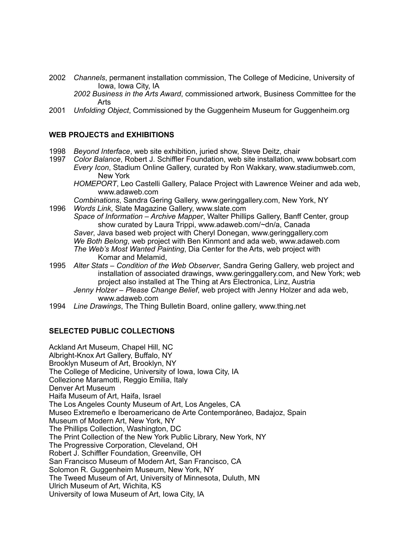2002 *Channels*, permanent installation commission, The College of Medicine, University of Iowa, Iowa City, IA

*2002 Business in the Arts Award*, commissioned artwork, Business Committee for the Arts

2001 *Unfolding Object*, Commissioned by the Guggenheim Museum for Guggenheim.org

### **WEB PROJECTS and EXHIBITIONS**

- 1998 *Beyond Interface*, web site exhibition, juried show, Steve Deitz, chair
- 1997 *Color Balance*, Robert J. Schiffler Foundation, web site installation, www.bobsart.com *Every Icon*, Stadium Online Gallery, curated by Ron Wakkary, www.stadiumweb.com, New York

*HOMEPORT*, Leo Castelli Gallery, Palace Project with Lawrence Weiner and ada web, www.adaweb.com

*Combinations*, Sandra Gering Gallery, www.geringgallery.com, New York, NY

1996 *Words Link*, Slate Magazine Gallery, www.slate.com

*Space of Information – Archive Mapper*, Walter Phillips Gallery, Banff Center, group show curated by Laura Trippi, www.adaweb.com/~dn/a, Canada *Saver*, Java based web project with Cheryl Donegan, www.geringgallery.com *We Both Belong*, web project with Ben Kinmont and ada web, www.adaweb.com *The Web's Most Wanted Painting*, Dia Center for the Arts, web project with Komar and Melamid,

- 1995 *Alter Stats Condition of the Web Observer*, Sandra Gering Gallery, web project and installation of associated drawings, www.geringgallery.com, and New York; web project also installed at The Thing at Ars Electronica, Linz, Austria
	- *Jenny Holzer Please Change Belief*, web project with Jenny Holzer and ada web, www.adaweb.com
- 1994 *Line Drawings*, The Thing Bulletin Board, online gallery, www.thing.net

## **SELECTED PUBLIC COLLECTIONS**

Ackland Art Museum, Chapel Hill, NC Albright-Knox Art Gallery, Buffalo, NY Brooklyn Museum of Art, Brooklyn, NY The College of Medicine, University of Iowa, Iowa City, IA Collezione Maramotti, Reggio Emilia, Italy Denver Art Museum Haifa Museum of Art, Haifa, Israel The Los Angeles County Museum of Art, Los Angeles, CA Museo Extremeño e Iberoamericano de Arte Contemporáneo, Badajoz, Spain Museum of Modern Art, New York, NY The Phillips Collection, Washington, DC The Print Collection of the New York Public Library, New York, NY The Progressive Corporation, Cleveland, OH Robert J. Schiffler Foundation, Greenville, OH San Francisco Museum of Modern Art, San Francisco, CA Solomon R. Guggenheim Museum, New York, NY The Tweed Museum of Art, University of Minnesota, Duluth, MN Ulrich Museum of Art, Wichita, KS University of Iowa Museum of Art, Iowa City, IA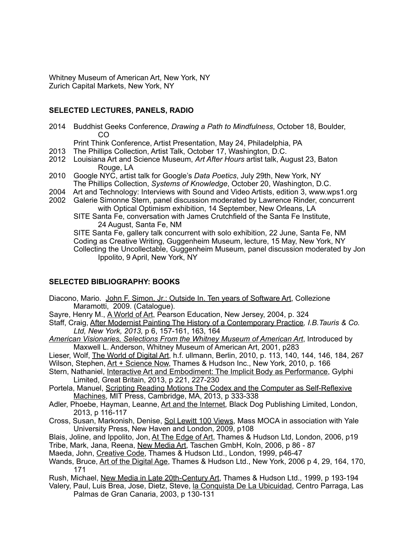Whitney Museum of American Art, New York, NY Zurich Capital Markets, New York, NY

## **SELECTED LECTURES, PANELS, RADIO**

2014 Buddhist Geeks Conference, *Drawing a Path to Mindfulness*, October 18, Boulder, CO

Print Think Conference, Artist Presentation, May 24, Philadelphia, PA

- 2013 The Phillips Collection, Artist Talk, October 17, Washington, D.C.
- 2012 Louisiana Art and Science Museum, *Art After Hours* artist talk, August 23, Baton Rouge, LA
- 2010 Google NYC, artist talk for Google's *Data Poetics*, July 29th, New York, NY The Phillips Collection, *Systems of Knowledge*, October 20, Washington, D.C.<br>2004 Art and Technology: Interviews with Sound and Video Artists, edition 3, www.w
- Art and Technology: Interviews with Sound and Video Artists, edition 3, www.wps1.org
- 2002 Galerie Simonne Stern, panel discussion moderated by Lawrence Rinder, concurrent with Optical Optimism exhibition, 14 September, New Orleans, LA
	- SITE Santa Fe, conversation with James Crutchfield of the Santa Fe Institute, 24 August, Santa Fe, NM

SITE Santa Fe, gallery talk concurrent with solo exhibition, 22 June, Santa Fe, NM Coding as Creative Writing, Guggenheim Museum, lecture, 15 May, New York, NY Collecting the Uncollectable, Guggenheim Museum, panel discussion moderated by Jon Ippolito, 9 April, New York, NY

# **SELECTED BIBLIOGRAPHY: BOOKS**

Diacono, Mario. John F. Simon, Jr.: Outside In. Ten years of Software Art, Collezione Maramotti, 2009. (Catalogue).

Sayre, Henry M., A World of Art, Pearson Education, New Jersey, 2004, p. 324

Staff, Craig, After Modernist Painting The History of a Contemporary Practice*, I.B.Tauris & Co. Ltd, New York, 2013,* p 6, 157-161, 163, 164

*American Visionaries, Selections From the Whitney Museum of American Art*, Introduced by Maxwell L. Anderson, Whitney Museum of American Art, 2001, p283

Lieser, Wolf, The World of Digital Art, h.f. ullmann, Berlin, 2010, p. 113, 140, 144, 146, 184, 267 Wilson, Stephen, Art + Science Now, Thames & Hudson Inc., New York, 2010, p. 166

- Stern. Nathaniel, Interactive Art and Embodiment: The Implicit Body as Performance, Gylphi Limited, Great Britain, 2013, p 221, 227-230
- Portela, Manuel, Scripting Reading Motions The Codex and the Computer as Self-Reflexive Machines, MIT Press, Cambridge, MA, 2013, p 333-338
- Adler, Phoebe, Hayman, Leanne, Art and the Internet*,* Black Dog Publishing Limited, London, 2013, p 116-117
- Cross, Susan, Markonish, Denise, Sol Lewitt 100 Views, Mass MOCA in association with Yale University Press, New Haven and London, 2009, p108
- Blais, Joline, and Ippolito, Jon, At The Edge of Art, Thames & Hudson Ltd, London, 2006, p19

Tribe, Mark, Jana, Reena, New Media Art, Taschen GmbH, Koln, 2006, p 86 - 87

- Maeda, John, Creative Code, Thames & Hudson Ltd., London, 1999, p46-47
- Wands, Bruce, Art of the Digital Age, Thames & Hudson Ltd., New York, 2006 p 4, 29, 164, 170, 171
- Rush, Michael, New Media in Late 20th-Century Art, Thames & Hudson Ltd., 1999, p 193-194
- Valery, Paul, Luis Brea, Jose, Dietz, Steve, la Conquista De La Ubicuidad, Centro Parraga, Las Palmas de Gran Canaria, 2003, p 130-131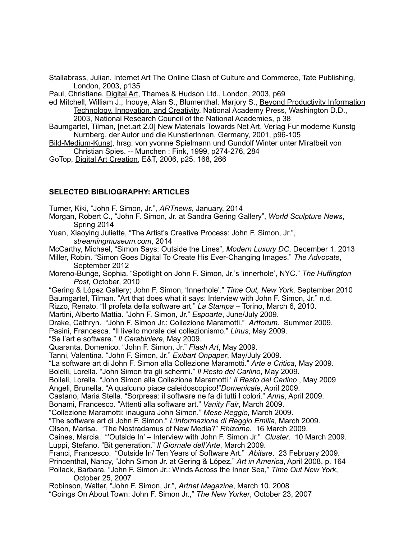Stallabrass, Julian, Internet Art The Online Clash of Culture and Commerce, Tate Publishing, London, 2003, p135

Paul, Christiane, Digital Art, Thames & Hudson Ltd., London, 2003, p69

ed Mitchell, William J., Inouye, Alan S., Blumenthal, Marjory S., Beyond Productivity Information Technology, Innovation, and Creativity, National Academy Press, Washington D.D.,

2003, National Research Council of the National Academies, p 38

- Baumgartel, Tilman, [net.art 2.0] New Materials Towards Net Art, Verlag Fur moderne Kunstg Nurnberg, der Autor und die Kunstlerlnnen, Germany, 2001, p96-105
- Bild-Medium-Kunst, hrsg. von yvonne Spielmann und Gundolf Winter unter Miratbeit von Christian Spies. -- Munchen : Fink, 1999, p274-276, 284

GoTop, Digital Art Creation, E&T, 2006, p25, 168, 266

### **SELECTED BIBLIOGRAPHY: ARTICLES**

Turner, Kiki, "John F. Simon, Jr.", *ARTnews*, January, 2014

Morgan, Robert C., "John F. Simon, Jr. at Sandra Gering Gallery", *World Sculpture News*, Spring 2014

Yuan, Xiaoying Juliette, "The Artist's Creative Process: John F. Simon, Jr.", *streamingmuseum.com*, 2014

McCarthy, Michael, "Simon Says: Outside the Lines", *Modern Luxury DC*, December 1, 2013 Miller, Robin. "Simon Goes Digital To Create His Ever-Changing Images." *The Advocate*,

September 2012

Moreno-Bunge, Sophia. "Spotlight on John F. Simon, Jr.'s 'innerhole', NYC." *The Huffington Post*, October, 2010

"Gering & López Gallery; John F. Simon, 'Innerhole'." *Time Out, New York*, September 2010 Baumgartel, Tilman. "Art that does what it says: Interview with John F. Simon, Jr." n.d.

Rizzo, Renato. "Il profeta della software art." *La Stampa* – Torino, March 6, 2010.

Martini, Alberto Mattia. "John F. Simon, Jr." *Espoarte*, June/July 2009.

Drake, Cathryn. "John F. Simon Jr.: Collezione Maramotti." *Artforum*. Summer 2009.

Pasini, Francesca. "Il livello morale del collezionismo." *Linus*, May 2009.

"Se l'art e software." *Il Carabiniere*, May 2009.

Quaranta, Domenico. "John F. Simon, Jr." *Flash Art*, May 2009.

Tanni, Valentina. "John F. Simon, Jr." *Exibart Onpaper*, May/July 2009.

"La software art di John F. Simon alla Collezione Maramotti." *Arte e Critica*, May 2009.

Bolelli, Lorella. "John Simon tra gli schermi." *Il Resto del Carlino*, May 2009.

Bolleli, Lorella. "John Simon alla Collezione Maramotti.' *Il Resto del Carlino* , May 2009

Angeli, Brunella. "A qualcuno piace caleidoscopico!"*Domenicale*, April 2009.

Castano, Maria Stella. "Sorpresa: il software ne fa di tutti I colori." *Anna*, April 2009.

Bonami, Francesco. "Attenti alla software art." *Vanity Fair*, March 2009.

"Collezione Maramotti: inaugura John Simon." *Mese Reggio*, March 2009.

"The software art di John F. Simon." *L'Informazione di Reggio Emilia*, March 2009.

Olson, Marisa. "The Nostradamus of New Media?" *Rhizome*. 16 March 2009.

Caines, Marcia. "'Outside In' – Interview with John F. Simon Jr." *Cluster*. 10 March 2009. Luppi, Stefano. "Bit generation." *Il Giornale dell'Arte*, March 2009.

Franci, Francesco. "Outside In/ Ten Years of Software Art." *Abitare*. 23 February 2009.

Princenthal, Nancy, "John Simon Jr. at Gering & López," *Art in America*, April 2008, p. 164 Pollack, Barbara, "John F. Simon Jr.: Winds Across the Inner Sea," *Time Out New York*,

October 25, 2007

Robinson, Walter, "John F. Simon, Jr.", *Artnet Magazine*, March 10. 2008 "Goings On About Town: John F. Simon Jr.," *The New Yorker*, October 23, 2007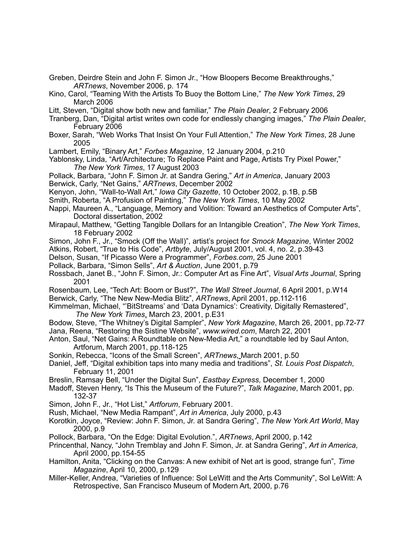- Greben, Deirdre Stein and John F. Simon Jr., "How Bloopers Become Breakthroughs," *ARTnews*, November 2006, p. 174
- Kino, Carol, "Teaming With the Artists To Buoy the Bottom Line," *The New York Times*, 29 March 2006
- Litt, Steven, "Digital show both new and familiar," *The Plain Dealer*, 2 February 2006
- Tranberg, Dan, "Digital artist writes own code for endlessly changing images," *The Plain Dealer*, February 2006
- Boxer, Sarah, "Web Works That Insist On Your Full Attention," *The New York Times*, 28 June 2005
- Lambert, Emily, "Binary Art," *Forbes Magazine*, 12 January 2004, p.210
- Yablonsky, Linda, "Art/Architecture; To Replace Paint and Page, Artists Try Pixel Power," *The New York Times*, 17 August 2003
- Pollack, Barbara, "John F. Simon Jr. at Sandra Gering," *Art in America*, January 2003 Berwick, Carly, "Net Gains," *ARTnews*, December 2002
- Kenyon, John, "Wall-to-Wall Art," *Iowa City Gazette*, 10 October 2002, p.1B, p.5B
- Smith, Roberta, "A Profusion of Painting," *The New York Times*, 10 May 2002
- Nappi, Maureen A., "Language, Memory and Volition: Toward an Aesthetics of Computer Arts", Doctoral dissertation, 2002
- Mirapaul, Matthew, "Getting Tangible Dollars for an Intangible Creation", *The New York Times*, 18 February 2002
- Simon, John F., Jr., "Smock (Off the Wall)", artist's project for *Smock Magazine*, Winter 2002
- Atkins, Robert, "True to His Code", *Artbyte*, July/August 2001, vol. 4, no. 2, p.39-43
- Delson, Susan, "If Picasso Were a Programmer", *Forbes.com*, 25 June 2001
- Pollack, Barbara, "Simon Sells", *Art & Auction*, June 2001, p.79
- Rossbach, Janet B., "John F. Simon, Jr.: Computer Art as Fine Art", *Visual Arts Journal*, Spring 2001
- Rosenbaum, Lee, "Tech Art: Boom or Bust?", *The Wall Street Journal*, 6 April 2001, p.W14 Berwick, Carly, "The New New-Media Blitz", *ARTnews*, April 2001, pp.112-116
- Kimmelman, Michael, "'BitStreams' and 'Data Dynamics': Creativity, Digitally Remastered", *The New York Times*, March 23, 2001, p.E31
- Bodow, Steve, "The Whitney's Digital Sampler", *New York Magazine*, March 26, 2001, pp.72-77 Jana, Reena, "Restoring the Sistine Website", *www.wired.com*, March 22, 2001
- Anton, Saul, "Net Gains: A Roundtable on New-Media Art," a roundtable led by Saul Anton, Artforum, March 2001, pp.118-125
- Sonkin, Rebecca, "Icons of the Small Screen", *ARTnews*, March 2001, p.50
- Daniel, Jeff, "Digital exhibition taps into many media and traditions", *St. Louis Post Dispatch*, February 11, 2001
- Breslin, Ramsay Bell, "Under the Digital Sun", *Eastbay Express*, December 1, 2000
- Madoff, Steven Henry, "Is This the Museum of the Future?", *Talk Magazine*, March 2001, pp. 132-37
- Simon, John F., Jr., "Hot List," *Artforum*, February 2001.
- Rush, Michael, "New Media Rampant", *Art in America*, July 2000, p.43
- Korotkin, Joyce, "Review: John F. Simon, Jr. at Sandra Gering", *The New York Art World*, May 2000, p.9
- Pollock, Barbara, "On the Edge: Digital Evolution.", *ARTnews*, April 2000, p.142
- Princenthal, Nancy, "John Tremblay and John F. Simon, Jr. at Sandra Gering", *Art in America*, April 2000, pp.154-55
- Hamilton, Anita, "Clicking on the Canvas: A new exhibit of Net art is good, strange fun", *Time Magazine*, April 10, 2000, p.129
- Miller-Keller, Andrea, "Varieties of Influence: Sol LeWitt and the Arts Community", Sol LeWitt: A Retrospective, San Francisco Museum of Modern Art, 2000, p.76